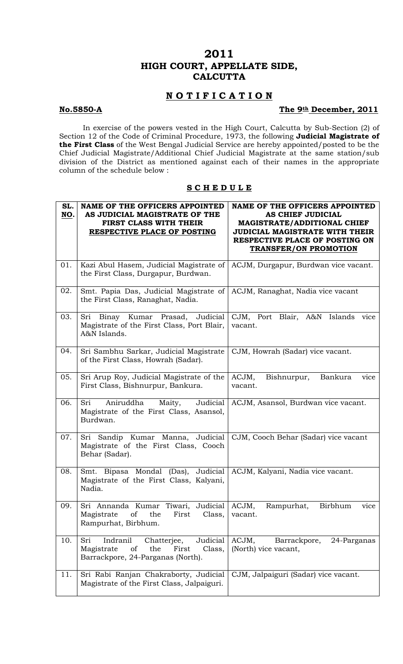# **2011 HIGH COURT, APPELLATE SIDE, CALCUTTA**

# **N O T I F I C A T I O N**

# **No.5850-A** The 9<sup>th</sup> December, 2011

 In exercise of the powers vested in the High Court, Calcutta by Sub-Section (2) of Section 12 of the Code of Criminal Procedure, 1973, the following **Judicial Magistrate of the First Class** of the West Bengal Judicial Service are hereby appointed/posted to be the Chief Judicial Magistrate/Additional Chief Judicial Magistrate at the same station/sub division of the District as mentioned against each of their names in the appropriate column of the schedule below :

## **S C H E D U L E**

| SL.<br>NO. | <b>NAME OF THE OFFICERS APPOINTED</b><br>AS JUDICIAL MAGISTRATE OF THE<br>FIRST CLASS WITH THEIR<br>RESPECTIVE PLACE OF POSTING | <b>NAME OF THE OFFICERS APPOINTED</b><br><b>AS CHIEF JUDICIAL</b><br><b>MAGISTRATE/ADDITIONAL CHIEF</b><br><b>JUDICIAL MAGISTRATE WITH THEIR</b><br>RESPECTIVE PLACE OF POSTING ON<br><b>TRANSFER/ON PROMOTION</b> |
|------------|---------------------------------------------------------------------------------------------------------------------------------|--------------------------------------------------------------------------------------------------------------------------------------------------------------------------------------------------------------------|
| 01.        | Kazi Abul Hasem, Judicial Magistrate of<br>the First Class, Durgapur, Burdwan.                                                  | ACJM, Durgapur, Burdwan vice vacant.                                                                                                                                                                               |
| 02.        | Smt. Papia Das, Judicial Magistrate of<br>the First Class, Ranaghat, Nadia.                                                     | ACJM, Ranaghat, Nadia vice vacant                                                                                                                                                                                  |
| 03.        | Sri Binay Kumar Prasad, Judicial<br>Magistrate of the First Class, Port Blair,<br>A&N Islands.                                  | CJM, Port Blair, A&N Islands<br>vice<br>vacant.                                                                                                                                                                    |
| 04.        | Sri Sambhu Sarkar, Judicial Magistrate<br>of the First Class, Howrah (Sadar).                                                   | CJM, Howrah (Sadar) vice vacant.                                                                                                                                                                                   |
| 05.        | Sri Arup Roy, Judicial Magistrate of the<br>First Class, Bishnurpur, Bankura.                                                   | ACJM,<br>Bishnurpur,<br>Bankura<br>vice<br>vacant.                                                                                                                                                                 |
| 06.        | Sri<br>Aniruddha<br>Judicial<br>Maity,<br>Magistrate of the First Class, Asansol,<br>Burdwan.                                   | ACJM, Asansol, Burdwan vice vacant.                                                                                                                                                                                |
| 07.        | Sri Sandip Kumar Manna, Judicial<br>Magistrate of the First Class, Cooch<br>Behar (Sadar).                                      | CJM, Cooch Behar (Sadar) vice vacant                                                                                                                                                                               |
| 08.        | Bipasa Mondal (Das), Judicial<br>Smt.<br>Magistrate of the First Class, Kalyani,<br>Nadia.                                      | ACJM, Kalyani, Nadia vice vacant.                                                                                                                                                                                  |
| 09.        | Sri Annanda Kumar Tiwari, Judicial<br>of<br>the<br>Magistrate<br>First<br>Class,<br>Rampurhat, Birbhum.                         | ACJM,<br>Birbhum<br>Rampurhat,<br>vice<br>vacant.                                                                                                                                                                  |
| 10.        | Judicial<br>Indranil<br>Sri<br>Chatterjee,<br>of<br>the<br>Magistrate<br>First<br>Class,<br>Barrackpore, 24-Parganas (North).   | ACJM,<br>Barrackpore,<br>24-Parganas<br>(North) vice vacant,                                                                                                                                                       |
| 11.        | Sri Rabi Ranjan Chakraborty, Judicial<br>Magistrate of the First Class, Jalpaiguri.                                             | CJM, Jalpaiguri (Sadar) vice vacant.                                                                                                                                                                               |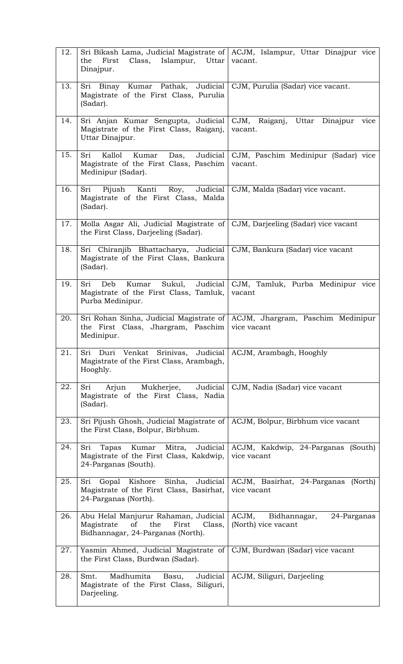| 12. | Class,<br>the<br>First<br>Islampur,<br>Uttar<br>Dinajpur.                                                                            | Sri Bikash Lama, Judicial Magistrate of   ACJM, Islampur, Uttar Dinajpur vice<br>vacant. |
|-----|--------------------------------------------------------------------------------------------------------------------------------------|------------------------------------------------------------------------------------------|
| 13. | Sri Binay Kumar Pathak, Judicial<br>Magistrate of the First Class, Purulia<br>(Sadar).                                               | CJM, Purulia (Sadar) vice vacant.                                                        |
| 14. | Sri Anjan Kumar Sengupta, Judicial   CJM, Raiganj,<br>Magistrate of the First Class, Raiganj,<br>Uttar Dinajpur.                     | Uttar Dinajpur<br>vice<br>vacant.                                                        |
| 15. | Kallol<br>Sri<br>Kumar<br>Das,<br>Magistrate of the First Class, Paschim<br>Medinipur (Sadar).                                       | Judicial   CJM, Paschim Medinipur (Sadar) vice<br>vacant.                                |
| 16. | Sri<br>Judicial<br>Kanti<br>Roy,<br>Pijush<br>Magistrate of the First Class, Malda<br>(Sadar).                                       | CJM, Malda (Sadar) vice vacant.                                                          |
| 17. | Molla Asgar Ali, Judicial Magistrate of<br>the First Class, Darjeeling (Sadar).                                                      | CJM, Darjeeling (Sadar) vice vacant                                                      |
| 18. | Sri Chiranjib Bhattacharya, Judicial<br>Magistrate of the First Class, Bankura<br>(Sadar).                                           | CJM, Bankura (Sadar) vice vacant                                                         |
| 19. | Sri<br>Kumar<br>Sukul,<br>Deb<br>Magistrate of the First Class, Tamluk,<br>Purba Medinipur.                                          | Judicial   CJM, Tamluk, Purba Medinipur vice<br>vacant                                   |
| 20. | the First Class, Jhargram, Paschim<br>Medinipur.                                                                                     | Sri Rohan Sinha, Judicial Magistrate of ACJM, Jhargram, Paschim Medinipur<br>vice vacant |
| 21. | Sri Duri Venkat Srinivas, Judicial ACJM, Arambagh, Hooghly<br>Magistrate of the First Class, Arambagh,<br>Hooghly.                   |                                                                                          |
| 22. | Mukherjee, Judicial<br>Sri<br>Arjun<br>Magistrate of the First Class, Nadia<br>(Sadar).                                              | CJM, Nadia (Sadar) vice vacant                                                           |
| 23. | Sri Pijush Ghosh, Judicial Magistrate of<br>the First Class, Bolpur, Birbhum.                                                        | ACJM, Bolpur, Birbhum vice vacant                                                        |
| 24. | Tapas Kumar Mitra, Judicial<br>Sri<br>Magistrate of the First Class, Kakdwip,<br>24-Parganas (South).                                | ACJM, Kakdwip, 24-Parganas<br>(South)<br>vice vacant                                     |
| 25. | Gopal Kishore Sinha, Judicial ACJM, Basirhat, 24-Parganas<br>Sri<br>Magistrate of the First Class, Basirhat,<br>24-Parganas (North). | (North)<br>vice vacant                                                                   |
| 26. | Abu Helal Manjurur Rahaman, Judicial<br>Class,<br>Magistrate<br>of<br>the<br>First<br>Bidhannagar, 24-Parganas (North).              | ACJM,<br>Bidhannagar,<br>24-Parganas<br>(North) vice vacant                              |
| 27. | Yasmin Ahmed, Judicial Magistrate of<br>the First Class, Burdwan (Sadar).                                                            | CJM, Burdwan (Sadar) vice vacant                                                         |
| 28. | Madhumita<br>Smt.<br>Magistrate of the First Class, Siliguri,<br>Darjeeling.                                                         | Basu, Judicial   ACJM, Siliguri, Darjeeling                                              |